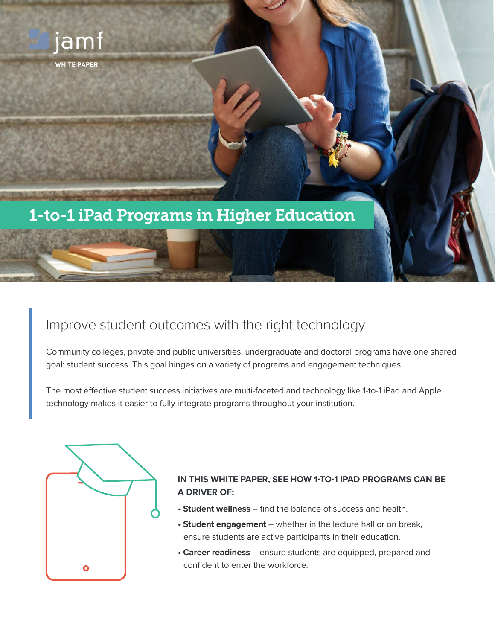

# Improve student outcomes with the right technology

Community colleges, private and public universities, undergraduate and doctoral programs have one shared goal: student success. This goal hinges on a variety of programs and engagement techniques.

The most effective student success initiatives are multi-faceted and technology like 1-to-1 iPad and Apple technology makes it easier to fully integrate programs throughout your institution.



## **IN THIS WHITE PAPER, SEE HOW 1-TO-1 IPAD PROGRAMS CAN BE A DRIVER OF:**

- **Student wellness**  find the balance of success and health.
- **Student engagement**  whether in the lecture hall or on break, ensure students are active participants in their education.
- **Career readiness**  ensure students are equipped, prepared and confident to enter the workforce.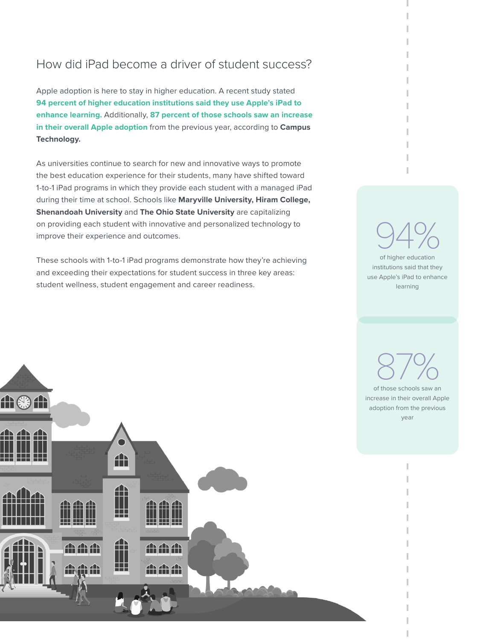## How did iPad become a driver of student success?

Apple adoption is here to stay in higher education. A recent study stated **94 percent of higher education institutions said they use Apple's iPad to enhance learning.** Additionally, **87 percent of those schools saw an increase in their overall Apple adoption** from the previous year, according to **[Campus](https://campustechnology.com/articles/2017/03/07/report-ipad-mac-use-growing-in-higher-ed.aspx)  [Technology.](https://campustechnology.com/articles/2017/03/07/report-ipad-mac-use-growing-in-higher-ed.aspx)**

As universities continue to search for new and innovative ways to promote the best education experience for their students, many have shifted toward 1-to-1 iPad programs in which they provide each student with a managed iPad during their time at school. Schools like **[Maryville University,](https://www.jamf.com/resources/case-studies/maryville-university/) [Hiram College,](https://www.cleveland.com/metro/index.ssf/2017/02/hiram_college_receives_21_mill.html) [Shenandoah University](https://www.jamf.com/resources/case-studies/shenandoah-university/)** and **[The Ohio State University](https://news.osu.edu/ohio-state-students-equipped-with-ipad-toolkit-as-orientation-begins/)** are capitalizing on providing each student with innovative and personalized technology to improve their experience and outcomes.

These schools with 1-to-1 iPad programs demonstrate how they're achieving and exceeding their expectations for student success in three key areas: student wellness, student engagement and career readiness.



institutions said that they use Apple's iPad to enhance learning



of those schools saw an increase in their overall Apple adoption from the previous year 87%

I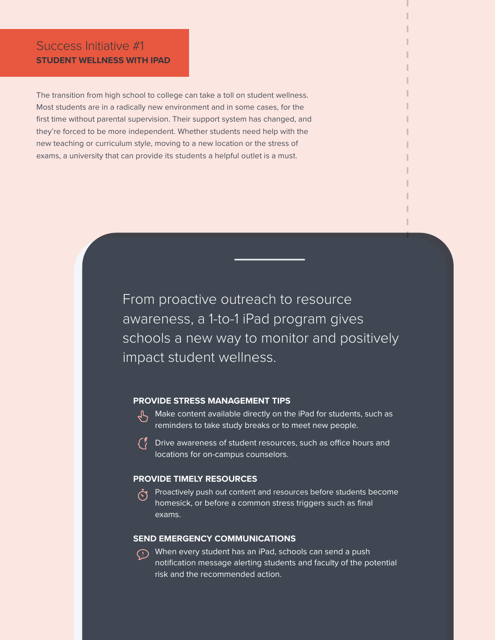## Success Initiative #1 **STUDENT WELLNESS WITH IPAD**

The transition from high school to college can take a toll on student wellness. Most students are in a radically new environment and in some cases, for the first time without parental supervision. Their support system has changed, and they're forced to be more independent. Whether students need help with the new teaching or curriculum style, moving to a new location or the stress of exams, a university that can provide its students a helpful outlet is a must.

> From proactive outreach to resource awareness, a 1-to-1 iPad program gives schools a new way to monitor and positively impact student wellness.

### **PROVIDE STRESS MANAGEMENT TIPS**

- $\sqrt{L}$  Make content available directly on the iPad for students, such as reminders to take study breaks or to meet new people.
- $\binom{r}{k}$ Drive awareness of student resources, such as office hours and locations for on-campus counselors.

#### **PROVIDE TIMELY RESOURCES**

Proactively push out content and resources before students become homesick, or before a common stress triggers such as final exams.

### **SEND EMERGENCY COMMUNICATIONS**

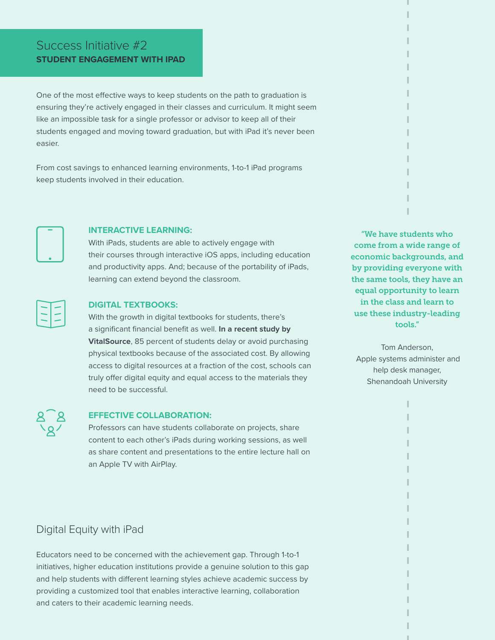## Success Initiative #2 **STUDENT ENGAGEMENT WITH IPAD**

One of the most effective ways to keep students on the path to graduation is ensuring they're actively engaged in their classes and curriculum. It might seem like an impossible task for a single professor or advisor to keep all of their students engaged and moving toward graduation, but with iPad it's never been easier.

From cost savings to enhanced learning environments, 1-to-1 iPad programs keep students involved in their education.



### **INTERACTIVE LEARNING:**

With iPads, students are able to actively engage with their courses through interactive iOS apps, including education and productivity apps. And; because of the portability of iPads, learning can extend beyond the classroom.



### **DIGITAL TEXTBOOKS:**

With the growth in digital textbooks for students, there's a significant financial benefit as well. **[In a recent study by](https://cdn2.hubspot.net/hubfs/2186210/Content/VitalSource/2017%20Wakefield/All%20Wakefield%20Infographics.pdf)  [VitalSource](https://cdn2.hubspot.net/hubfs/2186210/Content/VitalSource/2017%20Wakefield/All%20Wakefield%20Infographics.pdf)**, 85 percent of students delay or avoid purchasing physical textbooks because of the associated cost. By allowing access to digital resources at a fraction of the cost, schools can truly offer digital equity and equal access to the materials they need to be successful.

"We have students who come from a wide range of economic backgrounds, and by providing everyone with the same tools, they have an equal opportunity to learn in the class and learn to use these industry-leading tools."

Tom Anderson, Apple systems administer and help desk manager, Shenandoah University



### **EFFECTIVE COLLABORATION:**

Professors can have students collaborate on projects, share content to each other's iPads during working sessions, as well as share content and presentations to the entire lecture hall on an Apple TV with AirPlay.

## Digital Equity with iPad

Educators need to be concerned with the achievement gap. Through 1-to-1 initiatives, higher education institutions provide a genuine solution to this gap and help students with different learning styles achieve academic success by providing a customized tool that enables interactive learning, collaboration and caters to their academic learning needs.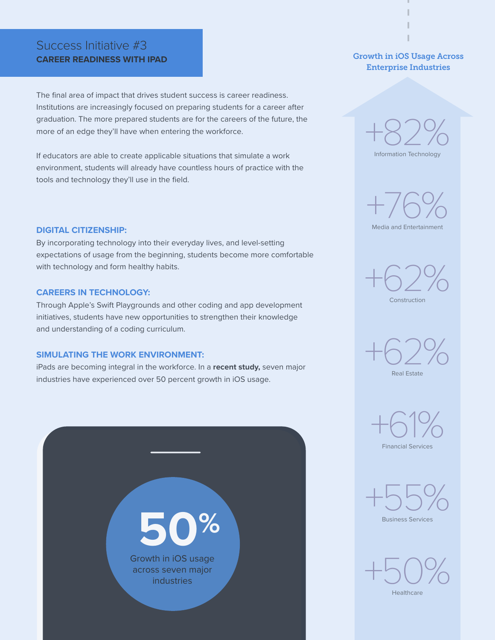## Success Initiative #3 **CAREER READINESS WITH IPAD**

The final area of impact that drives student success is career readiness. Institutions are increasingly focused on preparing students for a career after graduation. The more prepared students are for the careers of the future, the more of an edge they'll have when entering the workforce.

If educators are able to create applicable situations that simulate a work environment, students will already have countless hours of practice with the tools and technology they'll use in the field.

### **DIGITAL CITIZENSHIP:**

By incorporating technology into their everyday lives, and level-setting expectations of usage from the beginning, students become more comfortable with technology and form healthy habits.

### **CAREERS IN TECHNOLOGY:**

Through Apple's Swift Playgrounds and other coding and app development initiatives, students have new opportunities to strengthen their knowledge and understanding of a coding curriculum.

#### **SIMULATING THE WORK ENVIRONMENT:**

iPads are becoming integral in the workforce. In a **[recent study,](https://9to5mac.com/2018/09/04/ios-dominating-business-use/)** seven major industries have experienced over 50 percent growth in iOS usage.



## Growth in iOS Usage Across Enterprise Industries



+76%

Media and Entertainment







Financial Services



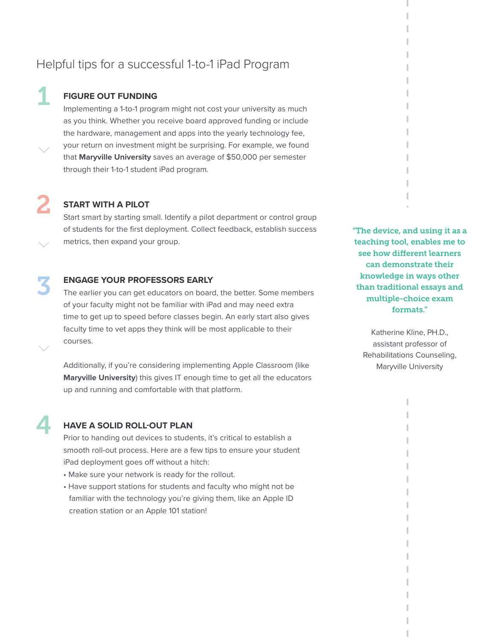## Helpful tips for a successful 1-to-1 iPad Program

## **FIGURE OUT FUNDING**

1

2

4

Implementing a 1-to-1 program might not cost your university as much as you think. Whether you receive board approved funding or include the hardware, management and apps into the yearly technology fee, your return on investment might be surprising. For example, we found that **[Maryville University](https://www.jamf.com/resources/case-studies/maryville-university/?keywords=Maryville&filters=Case%20Studies)** saves an average of \$50,000 per semester through their 1-to-1 student iPad program.

## **START WITH A PILOT**

Start smart by starting small. Identify a pilot department or control group of students for the first deployment. Collect feedback, establish success metrics, then expand your group.

## 3 **ENGAGE YOUR PROFESSORS EARLY**

The earlier you can get educators on board, the better. Some members of your faculty might not be familiar with iPad and may need extra time to get up to speed before classes begin. An early start also gives faculty time to vet apps they think will be most applicable to their courses.

Additionally, if you're considering implementing Apple Classroom (like **[Maryville University](https://www.jamf.com/resources/case-studies/maryville-university/?keywords=Maryville&filters=Case%20Studies)**) this gives IT enough time to get all the educators up and running and comfortable with that platform.

"The device, and using it as a teaching tool, enables me to see how different learners can demonstrate their knowledge in ways other than traditional essays and multiple-choice exam formats."

Katherine Kline, PH.D., assistant professor of Rehabilitations Counseling, Maryville University

ı

## **HAVE A SOLID ROLL-OUT PLAN**

Prior to handing out devices to students, it's critical to establish a smooth roll-out process. Here are a few tips to ensure your student iPad deployment goes off without a hitch:

- Make sure your network is ready for the rollout.
- Have support stations for students and faculty who might not be familiar with the technology you're giving them, like an Apple ID creation station or an Apple 101 station!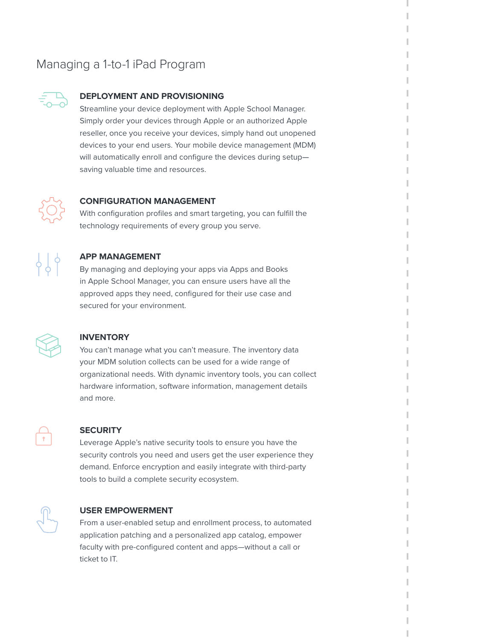# Managing a 1-to-1 iPad Program



## **DEPLOYMENT AND PROVISIONING**

Streamline your device deployment with Apple School Manager. Simply order your devices through Apple or an authorized Apple reseller, once you receive your devices, simply hand out unopened devices to your end users. Your mobile device management (MDM) will automatically enroll and configure the devices during setup saving valuable time and resources.



### **CONFIGURATION MANAGEMENT**

With configuration profiles and smart targeting, you can fulfill the technology requirements of every group you serve.



### **APP MANAGEMENT**

By managing and deploying your apps via Apps and Books in Apple School Manager, you can ensure users have all the approved apps they need, configured for their use case and secured for your environment.



#### **INVENTORY**

You can't manage what you can't measure. The inventory data your MDM solution collects can be used for a wide range of organizational needs. With dynamic inventory tools, you can collect hardware information, software information, management details and more.



#### **SECURITY**

Leverage Apple's native security tools to ensure you have the security controls you need and users get the user experience they demand. Enforce encryption and easily integrate with third-party tools to build a complete security ecosystem.



#### **USER EMPOWERMENT**

From a user-enabled setup and enrollment process, to automated application patching and a personalized app catalog, empower faculty with pre-configured content and apps—without a call or ticket to IT.